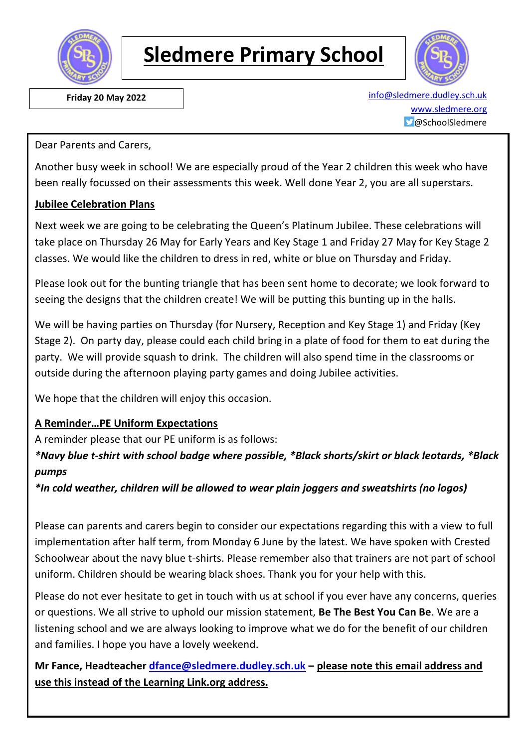

# **Sledmere Primary School**



 **Friday 20 May 2022** [info@sledmere.dudley.sch.uk](mailto:info@sledmere.dudley.sch.uk) [www.sledmere.org](http://www.sledmere.org/) @SchoolSledmere

Dear Parents and Carers,

Another busy week in school! We are especially proud of the Year 2 children this week who have been really focussed on their assessments this week. Well done Year 2, you are all superstars.

#### **Jubilee Celebration Plans**

Next week we are going to be celebrating the Queen's Platinum Jubilee. These celebrations will take place on Thursday 26 May for Early Years and Key Stage 1 and Friday 27 May for Key Stage 2 classes. We would like the children to dress in red, white or blue on Thursday and Friday.

Please look out for the bunting triangle that has been sent home to decorate; we look forward to seeing the designs that the children create! We will be putting this bunting up in the halls.

We will be having parties on Thursday (for Nursery, Reception and Key Stage 1) and Friday (Key Stage 2). On party day, please could each child bring in a plate of food for them to eat during the party. We will provide squash to drink. The children will also spend time in the classrooms or outside during the afternoon playing party games and doing Jubilee activities.

We hope that the children will enjoy this occasion.

#### **A Reminder…PE Uniform Expectations**

A reminder please that our PE uniform is as follows:

*\*Navy blue t-shirt with school badge where possible, \*Black shorts/skirt or black leotards, \*Black pumps*

*\*In cold weather, children will be allowed to wear plain joggers and sweatshirts (no logos)*

Please can parents and carers begin to consider our expectations regarding this with a view to full implementation after half term, from Monday 6 June by the latest. We have spoken with Crested Schoolwear about the navy blue t-shirts. Please remember also that trainers are not part of school uniform. Children should be wearing black shoes. Thank you for your help with this.

Please do not ever hesitate to get in touch with us at school if you ever have any concerns, queries or questions. We all strive to uphold our mission statement, **Be The Best You Can Be**. We are a listening school and we are always looking to improve what we do for the benefit of our children and families. I hope you have a lovely weekend.

**Mr Fance, Headteacher [dfance@sledmere.dudley.sch.uk](mailto:dfance@sledmere.dudley.sch.uk) – please note this email address and use this instead of the Learning Link.org address.**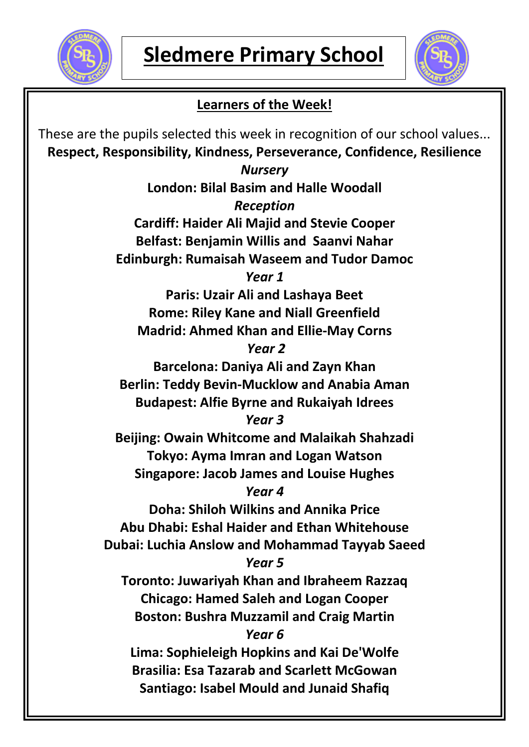



### **Learners of the Week!**

These are the pupils selected this week in recognition of our school values... **Respect, Responsibility, Kindness, Perseverance, Confidence, Resilience** *Nursery* **London: Bilal Basim and Halle Woodall** *Reception* **Cardiff: Haider Ali Majid and Stevie Cooper Belfast: Benjamin Willis and Saanvi Nahar Edinburgh: Rumaisah Waseem and Tudor Damoc** *Year 1* **Paris: Uzair Ali and Lashaya Beet Rome: Riley Kane and Niall Greenfield Madrid: Ahmed Khan and Ellie-May Corns** *Year 2* **Barcelona: Daniya Ali and Zayn Khan Berlin: Teddy Bevin-Mucklow and Anabia Aman Budapest: Alfie Byrne and Rukaiyah Idrees** *Year 3* **Beijing: Owain Whitcome and Malaikah Shahzadi Tokyo: Ayma Imran and Logan Watson Singapore: Jacob James and Louise Hughes** *Year 4* **Doha: Shiloh Wilkins and Annika Price Abu Dhabi: Eshal Haider and Ethan Whitehouse Dubai: Luchia Anslow and Mohammad Tayyab Saeed** *Year 5* **Toronto: Juwariyah Khan and Ibraheem Razzaq Chicago: Hamed Saleh and Logan Cooper Boston: Bushra Muzzamil and Craig Martin** *Year 6* **Lima: Sophieleigh Hopkins and Kai De'Wolfe Brasilia: Esa Tazarab and Scarlett McGowan Santiago: Isabel Mould and Junaid Shafiq**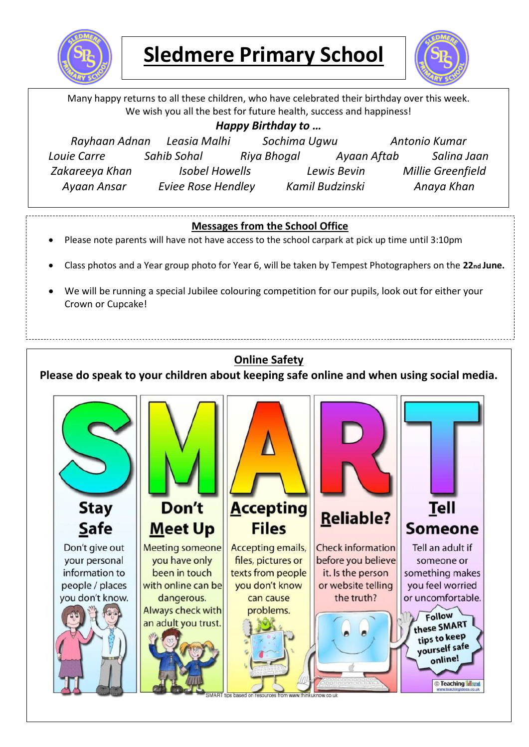

### **Sledmere Primary School**



Many happy returns to all these children, who have celebrated their birthday over this week. We wish you all the best for future health, success and happiness! *Happy Birthday to … Rayhaan Adnan Leasia Malhi Sochima Ugwu Antonio Kumar Louie Carre Sahib Sohal Riya Bhogal Ayaan Aftab Salina Jaan Zakareeya Khan Isobel Howells Lewis Bevin Millie Greenfield Ayaan Ansar Eviee Rose Hendley Kamil Budzinski Anaya Khan***Messages from the School Office** Please note parents will have not have access to the school carpark at pick up time until 3:10pm Class photos and a Year group photo for Year 6, will be taken by Tempest Photographers on the **22nd June.**  We will be running a special Jubilee colouring competition for our pupils, look out for either your Crown or Cupcake! **Online Safety Please do speak to your children about keeping safe online and when using social media. Accepting** Don't **Stay** Tell **Reliable? Files** Safe **Meet Up** Someone Don't give out Meeting someone **Accepting emails, Check information** Tell an adult if files, pictures or your personal you have only before you believe someone or been in touch texts from people it. Is the person information to something makes with online can be vou don't know or website telling vou feel worried people / places the truth? or uncomfortable. you don't know. dangerous. can cause Always check with problems. Follow these SMART an adult you trust. tips to keep yourself safe online! **C**Teaching